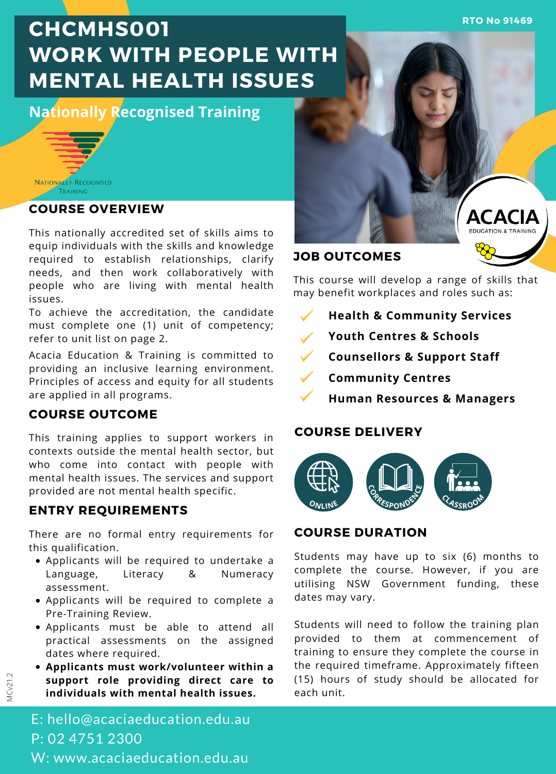**RTO No 91469**

**ACACIA** 

# **CHCMHS001 WORK WITH PEOPLE WITH MENTAL HEALTH ISSUES**

**Nationally Recognised Training**



### **COURSE OVERVIEW**

This nationally accredited set of skills aims to equip individuals with the skills and knowledge required to establish relationships, clarify needs, and then work collaboratively with people who are living with mental health issues.

To achieve the accreditation, the candidate must complete one (1) unit of competency; refer to unit list on page 2.

Acacia Education & Training is committed to providing an inclusive learning environment. Principles of access and equity for all students are applied in all programs.

#### **COURSE OUTCOME**

This training applies to support workers in contexts outside the mental health sector, but who come into contact with people with mental health issues. The services and support provided are not mental health specific.

#### **ENTRY REQUIREMENTS**

There are no formal entry requirements for this qualification.

- Applicants will be required to undertake a Language, Literacy & Numeracy assessment.
- Applicants will be required to complete a Pre-Training Review.
- Applicants must be able to attend all practical assessments on the assigned dates where required.
- **Applicants must work/volunteer within a support role providing direct care to individuals with mental health issues.**

E: hello@acaciaeducation.edu.au P: 02 4751 2300 W: www.acaciaeducation.edu.au



This course will develop a range of skills that may benefit workplaces and roles such as:

- **Health & Community Services**
- **Youth Centres & Schools**
- **Counsellors & Support Staff**
- **Community Centres**
	- **Human Resources & Managers**

#### **COURSE DELIVERY**



#### **COURSE DURATION**

Students may have up to six (6) months to complete the course. However, if you are utilising NSW Government funding, these dates may vary.

Students will need to follow the training plan provided to them at commencement of training to ensure they complete the course in the required timeframe. Approximately fifteen (15) hours of study should be allocated for each unit.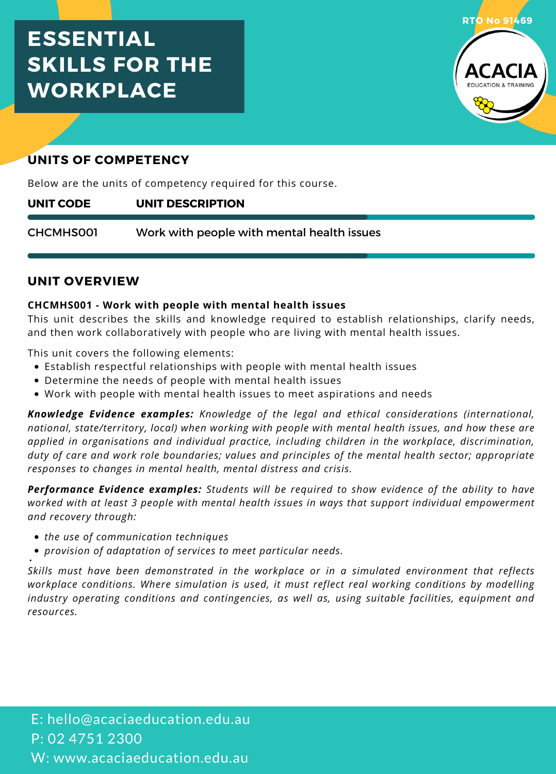# **ESSENTIAL SKILLS FOR THE WORKPLACE**



## **UNITS OF COMPETENCY**

Below are the units of competency required for this course.

#### **UNIT DESCRIPTION UNIT CODE**

Work with people with mental health issues CHCMHS001

#### **UNIT OVERVIEW**

#### **CHCMHS001 - Work with people with mental health issues**

This unit describes the skills and knowledge required to establish relationships, clarify needs, and then work collaboratively with people who are living with mental health issues.

This unit covers the following elements:

- Establish respectful relationships with people with mental health issues
- Determine the needs of people with mental health issues
- Work with people with mental health issues to meet aspirations and needs

*Knowledge Evidence examples: Knowledge of the legal and ethical considerations (international, national, state/territory, local) when working with people with mental health issues, and how these are applied in organisations and individual practice, including children in the workplace, discrimination, duty of care and work role boundaries; values and principles of the mental health sector; appropriate responses to changes in mental health, mental distress and crisis.*

*Performance Evidence examples: Students will be required to show evidence of the ability to have worked with at least 3 people with mental health issues in ways that support individual empowerment and recovery through:*

- *the use of communication techniques*
- *provision of adaptation of services to meet particular needs.*

*Skills must have been demonstrated in the workplace or in a simulated environment that reflects workplace conditions. Where simulation is used, it must reflect real working conditions by modelling industry operating conditions and contingencies, as well as, using suitable facilities, equipment and resources.*